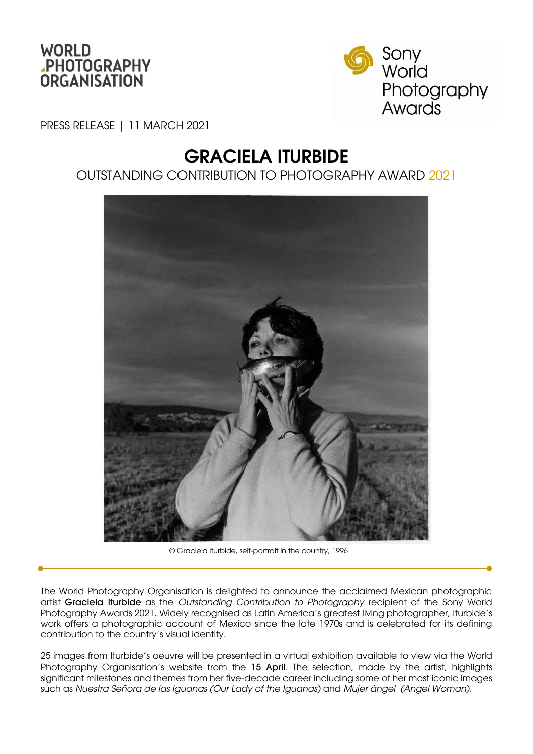



PRESS RELEASE | 11 MARCH 2021

# GRACIELA ITURBIDE

# OUTSTANDING CONTRIBUTION TO PHOTOGRAPHY AWARD 2021



© Graciela Iturbide, self-portrait in the country, 1996

The World Photography Organisation is delighted to announce the acclaimed Mexican photographic artist Graciela Iturbide as the *Outstanding Contribution to Photography* recipient of the Sony World Photography Awards 2021. Widely recognised as Latin America's greatest living photographer, Iturbide's work offers a photographic account of Mexico since the late 1970s and is celebrated for its defining contribution to the country's visual identity.

25 images from Iturbide's oeuvre will be presented in a virtual exhibition available to view via the World Photography Organisation's website from the 15 April. The selection, made by the artist, highlights significant milestones and themes from her five-decade career including some of her most iconic images such as *Nuestra Señora de las Iguanas (Our Lady of the Iguanas)* and *Mujer ángel (Angel Woman)*.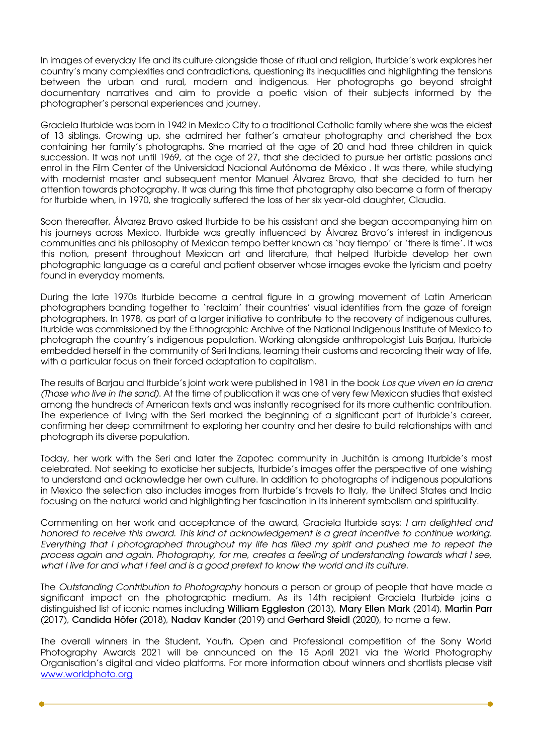In images of everyday life and its culture alongside those of ritual and religion, Iturbide's work explores her country's many complexities and contradictions, questioning its inequalities and highlighting the tensions between the urban and rural, modern and indigenous. Her photographs go beyond straight documentary narratives and aim to provide a poetic vision of their subjects informed by the photographer's personal experiences and journey.

Graciela Iturbide was born in 1942 in Mexico City to a traditional Catholic family where she was the eldest of 13 siblings. Growing up, she admired her father's amateur photography and cherished the box containing her family's photographs. She married at the age of 20 and had three children in quick succession. It was not until 1969, at the age of 27, that she decided to pursue her artistic passions and enrol in the Film Center of the Universidad Nacional Autónoma de México . It was there, while studying with modernist master and subsequent mentor Manuel Álvarez Bravo, that she decided to turn her attention towards photography. It was during this time that photography also became a form of therapy for Iturbide when, in 1970, she tragically suffered the loss of her six year-old daughter, Claudia.

Soon thereafter, Álvarez Bravo asked Iturbide to be his assistant and she began accompanying him on his journeys across Mexico. Iturbide was greatly influenced by Álvarez Bravo's interest in indigenous communities and his philosophy of Mexican tempo better known as 'hay tiempo' or 'there is time'. It was this notion, present throughout Mexican art and literature, that helped Iturbide develop her own photographic language as a careful and patient observer whose images evoke the lyricism and poetry found in everyday moments.

During the late 1970s Iturbide became a central figure in a growing movement of Latin American photographers banding together to 'reclaim' their countries' visual identities from the gaze of foreign photographers. In 1978, as part of a larger initiative to contribute to the recovery of indigenous cultures, Iturbide was commissioned by the Ethnographic Archive of the National Indigenous Institute of Mexico to photograph the country's indigenous population. Working alongside anthropologist Luis Barjau, Iturbide embedded herself in the community of Seri Indians, learning their customs and recording their way of life, with a particular focus on their forced adaptation to capitalism.

The results of Barjau and Iturbide's joint work were published in 1981 in the book *Los que viven en la arena (Those who live in the sand)*. At the time of publication it was one of very few Mexican studies that existed among the hundreds of American texts and was instantly recognised for its more authentic contribution. The experience of living with the Seri marked the beginning of a significant part of Iturbide's career, confirming her deep commitment to exploring her country and her desire to build relationships with and photograph its diverse population.

Today, her work with the Seri and later the Zapotec community in Juchitán is among Iturbide's most celebrated. Not seeking to exoticise her subjects, Iturbide's images offer the perspective of one wishing to understand and acknowledge her own culture. In addition to photographs of indigenous populations in Mexico the selection also includes images from Iturbide's travels to Italy, the United States and India focusing on the natural world and highlighting her fascination in its inherent symbolism and spirituality.

Commenting on her work and acceptance of the award, Graciela Iturbide says: *I am delighted and honored to receive this award. This kind of acknowledgement is a great incentive to continue working. Everything that I photographed throughout my life has filled my spirit and pushed me to repeat the process again and again. Photography, for me, creates a feeling of understanding towards what I see, what I live for and what I feel and is a good pretext to know the world and its culture.* 

The *Outstanding Contribution to Photography* honours a person or group of people that have made a significant impact on the photographic medium. As its 14th recipient Graciela Iturbide joins a distinguished list of iconic names including William Eggleston (2013), Mary Ellen Mark (2014), Martin Parr (2017), Candida Höfer (2018), Nadav Kander (2019) and Gerhard Steidl (2020), to name a few.

The overall winners in the Student, Youth, Open and Professional competition of the Sony World Photography Awards 2021 will be announced on the 15 April 2021 via the World Photography Organisation's digital and video platforms. For more information about winners and shortlists please visit [www.worldphoto.org](http://www.worldphoto.org/)